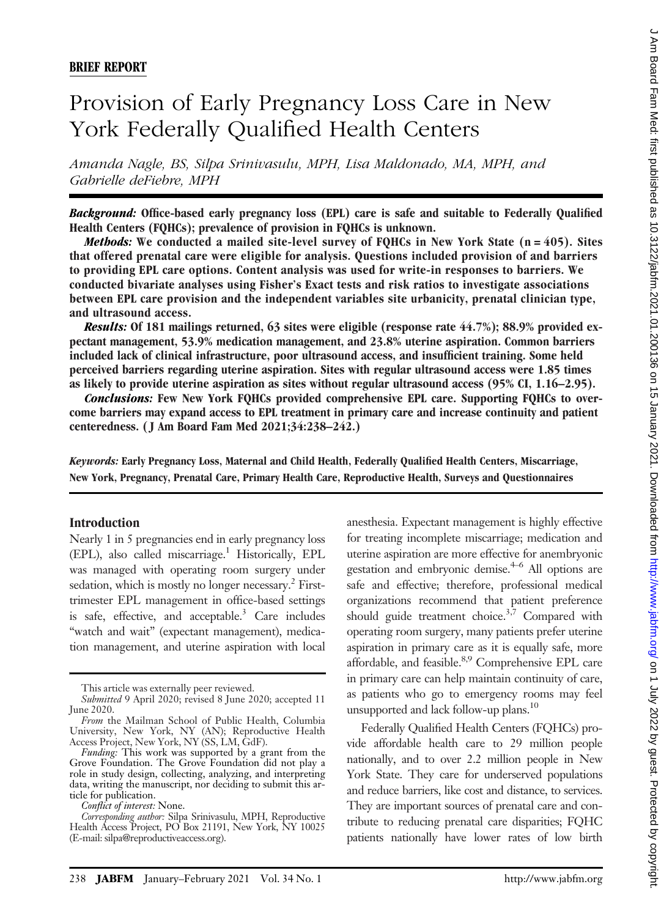# Provision of Early Pregnancy Loss Care in New York Federally Qualified Health Centers

Amanda Nagle, BS, Silpa Srinivasulu, MPH, Lisa Maldonado, MA, MPH, and Gabrielle deFiebre, MPH

Background: Office-based early pregnancy loss (EPL) care is safe and suitable to Federally Qualified Health Centers (FQHCs); prevalence of provision in FQHCs is unknown.

*Methods:* We conducted a mailed site-level survey of FQHCs in New York State  $(n = 405)$ . Sites that offered prenatal care were eligible for analysis. Questions included provision of and barriers to providing EPL care options. Content analysis was used for write-in responses to barriers. We conducted bivariate analyses using Fisher's Exact tests and risk ratios to investigate associations between EPL care provision and the independent variables site urbanicity, prenatal clinician type, and ultrasound access.

Results: Of 181 mailings returned, 63 sites were eligible (response rate 44.7%); 88.9% provided expectant management, 53.9% medication management, and 23.8% uterine aspiration. Common barriers included lack of clinical infrastructure, poor ultrasound access, and insufficient training. Some held perceived barriers regarding uterine aspiration. Sites with regular ultrasound access were 1.85 times as likely to provide uterine aspiration as sites without regular ultrasound access (95% CI, 1.16–2.95).

Conclusions: Few New York FQHCs provided comprehensive EPL care. Supporting FQHCs to overcome barriers may expand access to EPL treatment in primary care and increase continuity and patient centeredness. ( J Am Board Fam Med 2021;34:238–242.)

Keywords: Early Pregnancy Loss, Maternal and Child Health, Federally Qualified Health Centers, Miscarriage, New York, Pregnancy, Prenatal Care, Primary Health Care, Reproductive Health, Surveys and Questionnaires

### Introduction

Nearly 1 in 5 pregnancies end in early pregnancy loss  $(EPL)$ , also called miscarriage.<sup>1</sup> Historically, EPL was managed with operating room surgery under sedation, which is mostly no longer necessary.<sup>2</sup> Firsttrimester EPL management in office-based settings is safe, effective, and acceptable. $3$  Care includes "watch and wait" (expectant management), medication management, and uterine aspiration with local anesthesia. Expectant management is highly effective for treating incomplete miscarriage; medication and uterine aspiration are more effective for anembryonic gestation and embryonic demise.<sup>4–6</sup> All options are safe and effective; therefore, professional medical organizations recommend that patient preference should guide treatment choice.<sup>3,7</sup> Compared with operating room surgery, many patients prefer uterine aspiration in primary care as it is equally safe, more affordable, and feasible.<sup>8,9</sup> Comprehensive EPL care in primary care can help maintain continuity of care, as patients who go to emergency rooms may feel unsupported and lack follow-up plans.<sup>10</sup>

Federally Qualified Health Centers (FQHCs) provide affordable health care to 29 million people nationally, and to over 2.2 million people in New York State. They care for underserved populations and reduce barriers, like cost and distance, to services. They are important sources of prenatal care and contribute to reducing prenatal care disparities; FQHC patients nationally have lower rates of low birth

This article was externally peer reviewed.

Submitted 9 April 2020; revised 8 June 2020; accepted 11 June 2020.

From the Mailman School of Public Health, Columbia University, New York, NY (AN); Reproductive Health Access Project, New York, NY (SS, LM, GdF).

Funding: This work was supported by a grant from the Grove Foundation. The Grove Foundation did not play a role in study design, collecting, analyzing, and interpreting data, writing the manuscript, nor deciding to submit this article for publication.

Conflict of interest: None.

Corresponding author: Silpa Srinivasulu, MPH, Reproductive Health Access Project, PO Box 21191, New York, NY 10025 (E-mail: [silpa@reproductiveaccess.org](mailto:silpa@reproductiveaccess.org)).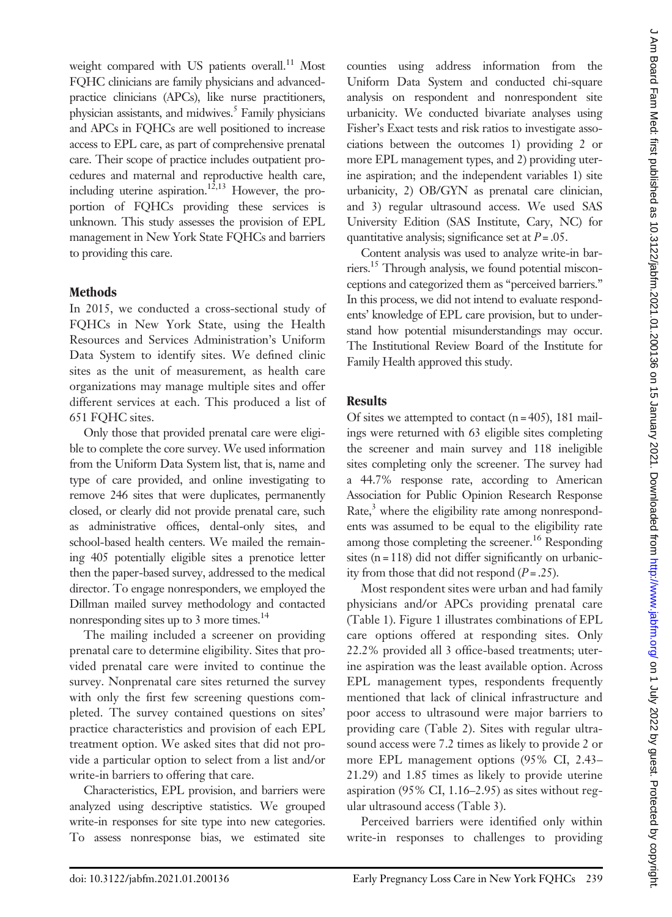weight compared with US patients overall.<sup>11</sup> Most FQHC clinicians are family physicians and advancedpractice clinicians (APCs), like nurse practitioners, physician assistants, and midwives.<sup>5</sup> Family physicians and APCs in FQHCs are well positioned to increase access to EPL care, as part of comprehensive prenatal care. Their scope of practice includes outpatient procedures and maternal and reproductive health care, including uterine aspiration.<sup>12,13</sup> However, the proportion of FQHCs providing these services is unknown. This study assesses the provision of EPL management in New York State FQHCs and barriers to providing this care.

## **Methods**

In 2015, we conducted a cross-sectional study of FQHCs in New York State, using the Health Resources and Services Administration's Uniform Data System to identify sites. We defined clinic sites as the unit of measurement, as health care organizations may manage multiple sites and offer different services at each. This produced a list of 651 FQHC sites.

Only those that provided prenatal care were eligible to complete the core survey. We used information from the Uniform Data System list, that is, name and type of care provided, and online investigating to remove 246 sites that were duplicates, permanently closed, or clearly did not provide prenatal care, such as administrative offices, dental-only sites, and school-based health centers. We mailed the remaining 405 potentially eligible sites a prenotice letter then the paper-based survey, addressed to the medical director. To engage nonresponders, we employed the Dillman mailed survey methodology and contacted nonresponding sites up to 3 more times.<sup>14</sup>

The mailing included a screener on providing prenatal care to determine eligibility. Sites that provided prenatal care were invited to continue the survey. Nonprenatal care sites returned the survey with only the first few screening questions completed. The survey contained questions on sites' practice characteristics and provision of each EPL treatment option. We asked sites that did not provide a particular option to select from a list and/or write-in barriers to offering that care.

Characteristics, EPL provision, and barriers were analyzed using descriptive statistics. We grouped write-in responses for site type into new categories. To assess nonresponse bias, we estimated site

counties using address information from the Uniform Data System and conducted chi-square analysis on respondent and nonrespondent site urbanicity. We conducted bivariate analyses using Fisher's Exact tests and risk ratios to investigate associations between the outcomes 1) providing 2 or more EPL management types, and 2) providing uterine aspiration; and the independent variables 1) site urbanicity, 2) OB/GYN as prenatal care clinician, and 3) regular ultrasound access. We used SAS University Edition (SAS Institute, Cary, NC) for quantitative analysis; significance set at  $P = .05$ .

Content analysis was used to analyze write-in barriers.15 Through analysis, we found potential misconceptions and categorized them as "perceived barriers." In this process, we did not intend to evaluate respondents' knowledge of EPL care provision, but to understand how potential misunderstandings may occur. The Institutional Review Board of the Institute for Family Health approved this study.

## Results

Of sites we attempted to contact  $(n = 405)$ , 181 mailings were returned with 63 eligible sites completing the screener and main survey and 118 ineligible sites completing only the screener. The survey had a 44.7% response rate, according to American Association for Public Opinion Research Response  $Rate<sub>2</sub><sup>3</sup>$  where the eligibility rate among nonrespondents was assumed to be equal to the eligibility rate among those completing the screener.<sup>16</sup> Responding sites  $(n = 118)$  did not differ significantly on urbanicity from those that did not respond  $(P = .25)$ .

Most respondent sites were urban and had family physicians and/or APCs providing prenatal care (Table 1). Figure 1 illustrates combinations of EPL care options offered at responding sites. Only 22.2% provided all 3 office-based treatments; uterine aspiration was the least available option. Across EPL management types, respondents frequently mentioned that lack of clinical infrastructure and poor access to ultrasound were major barriers to providing care (Table 2). Sites with regular ultrasound access were 7.2 times as likely to provide 2 or more EPL management options (95% CI, 2.43– 21.29) and 1.85 times as likely to provide uterine aspiration (95% CI, 1.16–2.95) as sites without regular ultrasound access (Table 3).

Perceived barriers were identified only within write-in responses to challenges to providing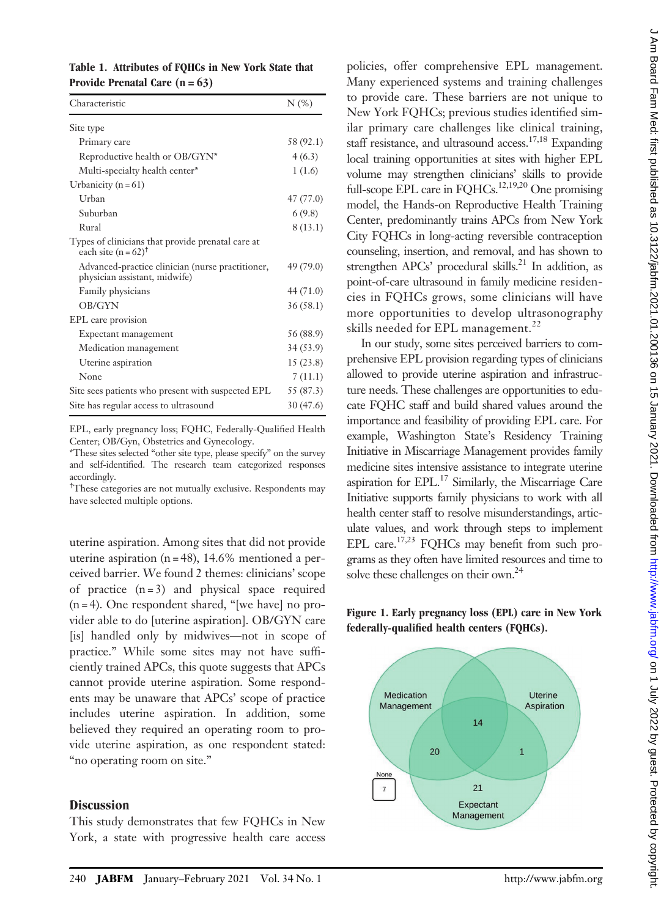|                                  |  | Table 1. Attributes of FQHCs in New York State that |  |
|----------------------------------|--|-----------------------------------------------------|--|
| Provide Prenatal Care $(n = 63)$ |  |                                                     |  |

| Characteristic                                                                      | $N$ (%)   |
|-------------------------------------------------------------------------------------|-----------|
| Site type                                                                           |           |
| Primary care                                                                        | 58 (92.1) |
| Reproductive health or OB/GYN*                                                      | 4(6.3)    |
| Multi-specialty health center*                                                      | 1(1.6)    |
| Urbanicity ( $n = 61$ )                                                             |           |
| Urban                                                                               | 47 (77.0) |
| Suburban                                                                            | 6(9.8)    |
| Rural                                                                               | 8(13.1)   |
| Types of clinicians that provide prenatal care at<br>each site $(n = 62)^{\dagger}$ |           |
| Advanced-practice clinician (nurse practitioner,<br>physician assistant, midwife)   | 49 (79.0) |
| Family physicians                                                                   | 44 (71.0) |
| <b>OB/GYN</b>                                                                       | 36(58.1)  |
| EPL care provision                                                                  |           |
| Expectant management                                                                | 56 (88.9) |
| Medication management                                                               | 34 (53.9) |
| Uterine aspiration                                                                  | 15(23.8)  |
| None                                                                                | 7(11.1)   |
| Site sees patients who present with suspected EPL                                   | 55 (87.3) |
| Site has regular access to ultrasound                                               | 30 (47.6) |

EPL, early pregnancy loss; FQHC, Federally-Qualified Health Center; OB/Gyn, Obstetrics and Gynecology.

\*These sites selected "other site type, please specify" on the survey and self-identified. The research team categorized responses accordingly.

<sup>†</sup>These categories are not mutually exclusive. Respondents may have selected multiple options.

uterine aspiration. Among sites that did not provide uterine aspiration ( $n = 48$ ), 14.6% mentioned a perceived barrier. We found 2 themes: clinicians' scope of practice  $(n=3)$  and physical space required (n = 4). One respondent shared, "[we have] no provider able to do [uterine aspiration]. OB/GYN care [is] handled only by midwives—not in scope of practice." While some sites may not have sufficiently trained APCs, this quote suggests that APCs cannot provide uterine aspiration. Some respondents may be unaware that APCs' scope of practice includes uterine aspiration. In addition, some believed they required an operating room to provide uterine aspiration, as one respondent stated: "no operating room on site."

### **Discussion**

This study demonstrates that few FQHCs in New York, a state with progressive health care access

policies, offer comprehensive EPL management. Many experienced systems and training challenges to provide care. These barriers are not unique to New York FQHCs; previous studies identified similar primary care challenges like clinical training, staff resistance, and ultrasound access.<sup>17,18</sup> Expanding local training opportunities at sites with higher EPL volume may strengthen clinicians' skills to provide full-scope EPL care in FQHCs.<sup>12,19,20</sup> One promising model, the Hands-on Reproductive Health Training Center, predominantly trains APCs from New York City FQHCs in long-acting reversible contraception counseling, insertion, and removal, and has shown to strengthen APCs' procedural skills.<sup>21</sup> In addition, as point-of-care ultrasound in family medicine residencies in FQHCs grows, some clinicians will have more opportunities to develop ultrasonography skills needed for EPL management.<sup>22</sup>

In our study, some sites perceived barriers to comprehensive EPL provision regarding types of clinicians allowed to provide uterine aspiration and infrastructure needs. These challenges are opportunities to educate FQHC staff and build shared values around the importance and feasibility of providing EPL care. For example, Washington State's Residency Training Initiative in Miscarriage Management provides family medicine sites intensive assistance to integrate uterine aspiration for EPL. $^{17}$  Similarly, the Miscarriage Care Initiative supports family physicians to work with all health center staff to resolve misunderstandings, articulate values, and work through steps to implement EPL care.<sup>17,23</sup> FQHCs may benefit from such programs as they often have limited resources and time to solve these challenges on their own.<sup>24</sup>

Figure 1. Early pregnancy loss (EPL) care in New York federally-qualified health centers (FQHCs).

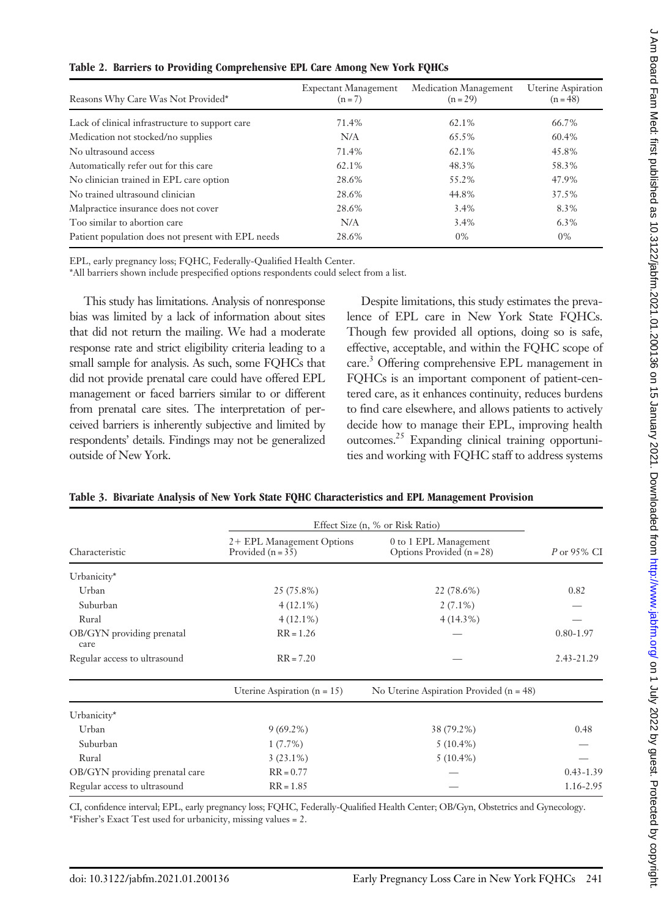|  |  |  | Table 2. Barriers to Providing Comprehensive EPL Care Among New York FQHCs |  |  |  |
|--|--|--|----------------------------------------------------------------------------|--|--|--|
|--|--|--|----------------------------------------------------------------------------|--|--|--|

| Reasons Why Care Was Not Provided*                 | <b>Expectant Management</b><br>$(n=7)$ | Medication Management<br>$(n=29)$ | <b>Uterine Aspiration</b><br>$(n = 48)$ |
|----------------------------------------------------|----------------------------------------|-----------------------------------|-----------------------------------------|
| Lack of clinical infrastructure to support care    | 71.4%                                  | 62.1%                             | 66.7%                                   |
| Medication not stocked/no supplies                 | N/A                                    | 65.5%                             | 60.4%                                   |
| No ultrasound access                               | 71.4%                                  | 62.1%                             | 45.8%                                   |
| Automatically refer out for this care              | 62.1%                                  | 48.3%                             | 58.3%                                   |
| No clinician trained in EPL care option            | 28.6%                                  | 55.2%                             | 47.9%                                   |
| No trained ultrasound clinician                    | 28.6%                                  | 44.8%                             | 37.5%                                   |
| Malpractice insurance does not cover               | 28.6%                                  | 3.4%                              | 8.3%                                    |
| Too similar to abortion care                       | N/A                                    | 3.4%                              | $6.3\%$                                 |
| Patient population does not present with EPL needs | 28.6%                                  | 0%                                | 0%                                      |

EPL, early pregnancy loss; FQHC, Federally-Qualified Health Center.

\*All barriers shown include prespecified options respondents could select from a list.

This study has limitations. Analysis of nonresponse bias was limited by a lack of information about sites that did not return the mailing. We had a moderate response rate and strict eligibility criteria leading to a small sample for analysis. As such, some FQHCs that did not provide prenatal care could have offered EPL management or faced barriers similar to or different from prenatal care sites. The interpretation of perceived barriers is inherently subjective and limited by respondents' details. Findings may not be generalized outside of New York.

Despite limitations, this study estimates the prevalence of EPL care in New York State FQHCs. Though few provided all options, doing so is safe, effective, acceptable, and within the FQHC scope of care.3 Offering comprehensive EPL management in FQHCs is an important component of patient-centered care, as it enhances continuity, reduces burdens to find care elsewhere, and allows patients to actively decide how to manage their EPL, improving health outcomes.<sup>25</sup> Expanding clinical training opportunities and working with FQHC staff to address systems

| Table 3. Bivariate Analysis of New York State FQHC Characteristics and EPL Management Provision |  |
|-------------------------------------------------------------------------------------------------|--|
|-------------------------------------------------------------------------------------------------|--|

|                                   | Effect Size (n, % or Risk Ratio)                 |                                                      |               |  |
|-----------------------------------|--------------------------------------------------|------------------------------------------------------|---------------|--|
| Characteristic                    | 2+ EPL Management Options<br>Provided $(n = 35)$ | 0 to 1 EPL Management<br>Options Provided $(n = 28)$ | $P$ or 95% CI |  |
| Urbanicity*                       |                                                  |                                                      |               |  |
| Urban                             | 25 (75.8%)                                       | 22 (78.6%)                                           | 0.82          |  |
| Suburban                          | $4(12.1\%)$                                      | $2(7.1\%)$                                           |               |  |
| Rural                             | $4(12.1\%)$                                      | $4(14.3\%)$                                          |               |  |
| OB/GYN providing prenatal<br>care | $RR = 1.26$                                      |                                                      | $0.80 - 1.97$ |  |
| Regular access to ultrasound      | $RR = 7.20$                                      |                                                      | 2.43-21.29    |  |
|                                   | Uterine Aspiration ( $n = 15$ )                  | No Uterine Aspiration Provided ( $n = 48$ )          |               |  |
| Urbanicity*                       |                                                  |                                                      |               |  |
| Urban                             | $9(69.2\%)$                                      | 38 (79.2%)                                           | 0.48          |  |
| Suburban                          | $1(7.7\%)$                                       | $5(10.4\%)$                                          |               |  |
| Rural                             | $3(23.1\%)$                                      | $5(10.4\%)$                                          |               |  |
| OB/GYN providing prenatal care    | $RR = 0.77$                                      |                                                      | $0.43 - 1.39$ |  |
| Regular access to ultrasound      | $RR = 1.85$                                      |                                                      | 1.16-2.95     |  |

CI, confidence interval; EPL, early pregnancy loss; FQHC, Federally-Qualified Health Center; OB/Gyn, Obstetrics and Gynecology. \*Fisher's Exact Test used for urbanicity, missing values = 2.